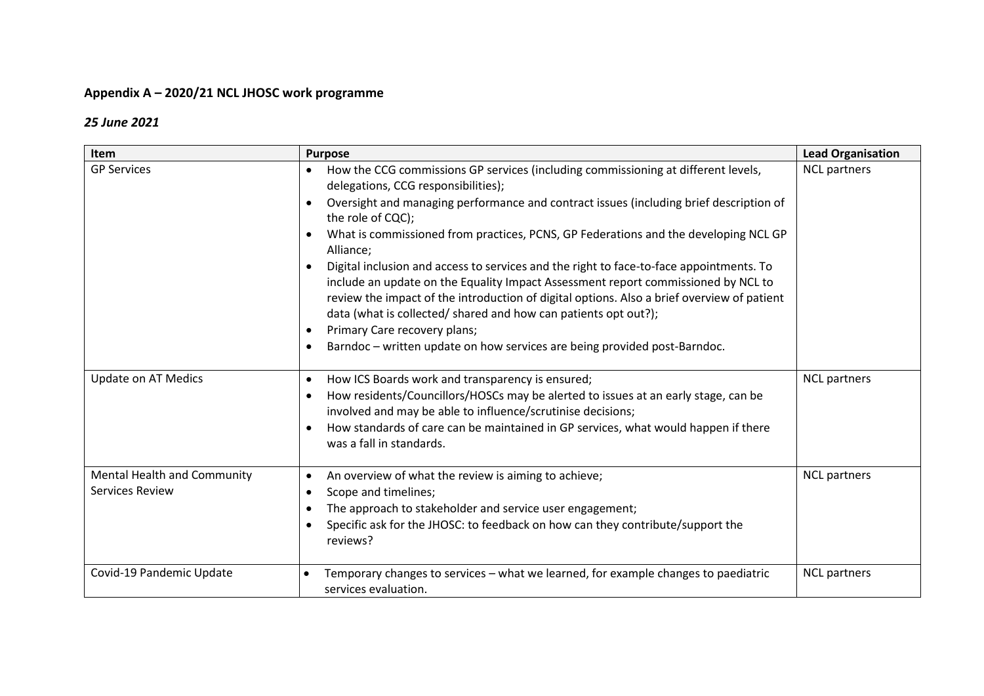# **Appendix A – 2020/21 NCL JHOSC work programme**

### *25 June 2021*

| Item                                                  | <b>Purpose</b>                                                                                                                                                                                                                                                                                                                                                                                                                                                                                                                                                                                                                                                                                                                                                                                            | <b>Lead Organisation</b> |
|-------------------------------------------------------|-----------------------------------------------------------------------------------------------------------------------------------------------------------------------------------------------------------------------------------------------------------------------------------------------------------------------------------------------------------------------------------------------------------------------------------------------------------------------------------------------------------------------------------------------------------------------------------------------------------------------------------------------------------------------------------------------------------------------------------------------------------------------------------------------------------|--------------------------|
| <b>GP Services</b>                                    | How the CCG commissions GP services (including commissioning at different levels,<br>delegations, CCG responsibilities);<br>Oversight and managing performance and contract issues (including brief description of<br>the role of CQC);<br>What is commissioned from practices, PCNS, GP Federations and the developing NCL GP<br>Alliance;<br>Digital inclusion and access to services and the right to face-to-face appointments. To<br>include an update on the Equality Impact Assessment report commissioned by NCL to<br>review the impact of the introduction of digital options. Also a brief overview of patient<br>data (what is collected/ shared and how can patients opt out?);<br>Primary Care recovery plans;<br>Barndoc - written update on how services are being provided post-Barndoc. | <b>NCL partners</b>      |
| <b>Update on AT Medics</b>                            | How ICS Boards work and transparency is ensured;<br>$\bullet$<br>How residents/Councillors/HOSCs may be alerted to issues at an early stage, can be<br>involved and may be able to influence/scrutinise decisions;<br>How standards of care can be maintained in GP services, what would happen if there<br>was a fall in standards.                                                                                                                                                                                                                                                                                                                                                                                                                                                                      | <b>NCL partners</b>      |
| Mental Health and Community<br><b>Services Review</b> | An overview of what the review is aiming to achieve;<br>$\bullet$<br>Scope and timelines;<br>$\bullet$<br>The approach to stakeholder and service user engagement;<br>$\bullet$<br>Specific ask for the JHOSC: to feedback on how can they contribute/support the<br>reviews?                                                                                                                                                                                                                                                                                                                                                                                                                                                                                                                             | <b>NCL partners</b>      |
| Covid-19 Pandemic Update                              | Temporary changes to services - what we learned, for example changes to paediatric<br>services evaluation.                                                                                                                                                                                                                                                                                                                                                                                                                                                                                                                                                                                                                                                                                                | <b>NCL partners</b>      |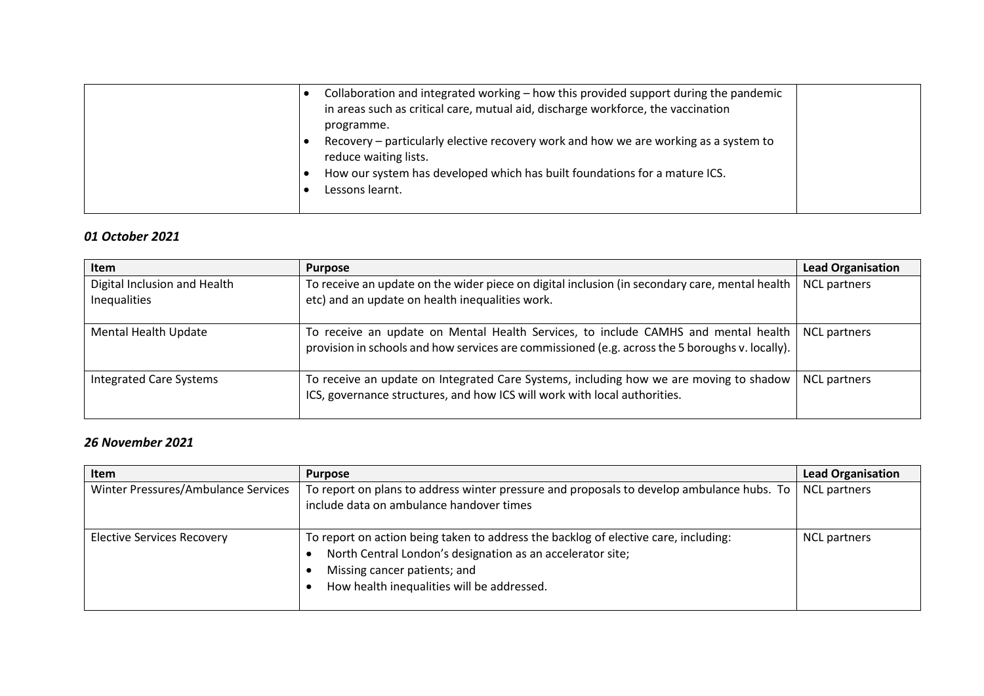|  | Collaboration and integrated working - how this provided support during the pandemic                          |  |
|--|---------------------------------------------------------------------------------------------------------------|--|
|  | in areas such as critical care, mutual aid, discharge workforce, the vaccination                              |  |
|  | programme.                                                                                                    |  |
|  | Recovery - particularly elective recovery work and how we are working as a system to<br>reduce waiting lists. |  |
|  | How our system has developed which has built foundations for a mature ICS.                                    |  |
|  | Lessons learnt.                                                                                               |  |
|  |                                                                                                               |  |

## *01 October 2021*

| <b>Item</b>                                  | <b>Purpose</b>                                                                                                                                                                        | <b>Lead Organisation</b> |
|----------------------------------------------|---------------------------------------------------------------------------------------------------------------------------------------------------------------------------------------|--------------------------|
| Digital Inclusion and Health<br>Inequalities | To receive an update on the wider piece on digital inclusion (in secondary care, mental health<br>etc) and an update on health inequalities work.                                     | <b>NCL partners</b>      |
| Mental Health Update                         | To receive an update on Mental Health Services, to include CAMHS and mental health<br>provision in schools and how services are commissioned (e.g. across the 5 boroughs v. locally). | <b>NCL</b> partners      |
| <b>Integrated Care Systems</b>               | To receive an update on Integrated Care Systems, including how we are moving to shadow<br>ICS, governance structures, and how ICS will work with local authorities.                   | <b>NCL</b> partners      |

## *26 November 2021*

| <b>Item</b>                         | <b>Purpose</b>                                                                                                                                                                                                                  | <b>Lead Organisation</b> |
|-------------------------------------|---------------------------------------------------------------------------------------------------------------------------------------------------------------------------------------------------------------------------------|--------------------------|
| Winter Pressures/Ambulance Services | To report on plans to address winter pressure and proposals to develop ambulance hubs. To<br>include data on ambulance handover times                                                                                           | <b>NCL partners</b>      |
| <b>Elective Services Recovery</b>   | To report on action being taken to address the backlog of elective care, including:<br>North Central London's designation as an accelerator site;<br>Missing cancer patients; and<br>How health inequalities will be addressed. | <b>NCL partners</b>      |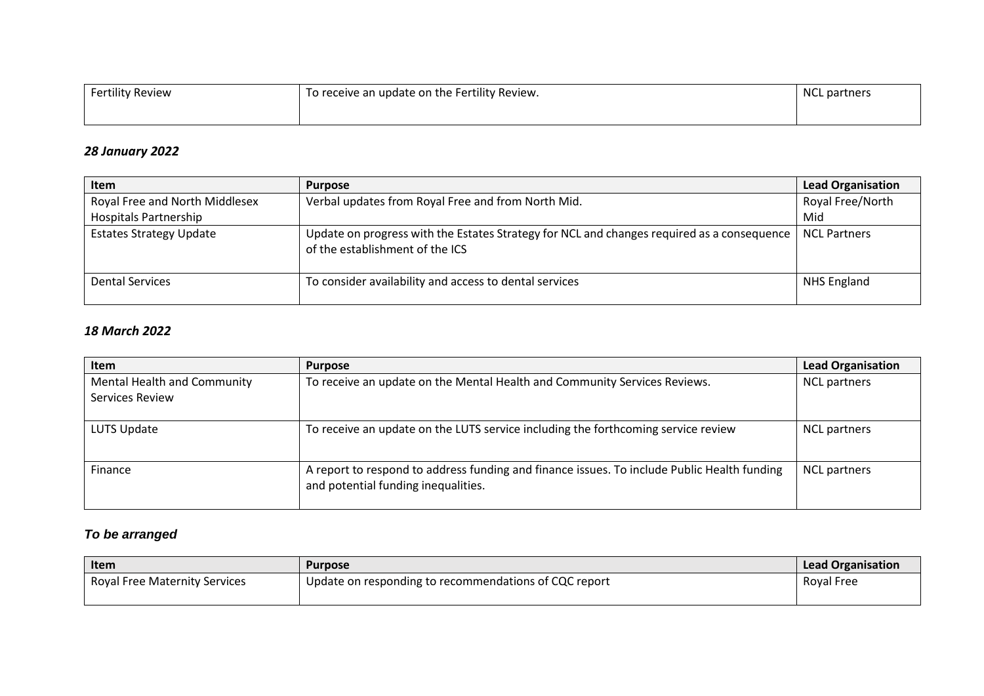| <b>Fertility Review</b> | To receive an update on the Fertility Review. | <b>NCL</b> partners |
|-------------------------|-----------------------------------------------|---------------------|
|                         |                                               |                     |

#### *28 January 2022*

| Item                           | <b>Purpose</b>                                                                                                                | <b>Lead Organisation</b> |
|--------------------------------|-------------------------------------------------------------------------------------------------------------------------------|--------------------------|
| Royal Free and North Middlesex | Verbal updates from Royal Free and from North Mid.                                                                            | Royal Free/North         |
| <b>Hospitals Partnership</b>   |                                                                                                                               | Mid                      |
| <b>Estates Strategy Update</b> | Update on progress with the Estates Strategy for NCL and changes required as a consequence<br>of the establishment of the ICS | <b>NCL Partners</b>      |
| <b>Dental Services</b>         | To consider availability and access to dental services                                                                        | NHS England              |

## *18 March 2022*

| Item                                                  | <b>Purpose</b>                                                                                                                     | <b>Lead Organisation</b> |
|-------------------------------------------------------|------------------------------------------------------------------------------------------------------------------------------------|--------------------------|
| Mental Health and Community<br><b>Services Review</b> | To receive an update on the Mental Health and Community Services Reviews.                                                          | <b>NCL partners</b>      |
| LUTS Update                                           | To receive an update on the LUTS service including the forthcoming service review                                                  | <b>NCL partners</b>      |
| Finance                                               | A report to respond to address funding and finance issues. To include Public Health funding<br>and potential funding inequalities. | <b>NCL partners</b>      |

# *To be arranged*

| ltem                                 | <b>Purpose</b>                                          | <b>Lead Organisation</b> |
|--------------------------------------|---------------------------------------------------------|--------------------------|
| <b>Royal Free Maternity Services</b> | ' Update on responding to recommendations of CQC report | <b>Roval Free</b>        |
|                                      |                                                         |                          |